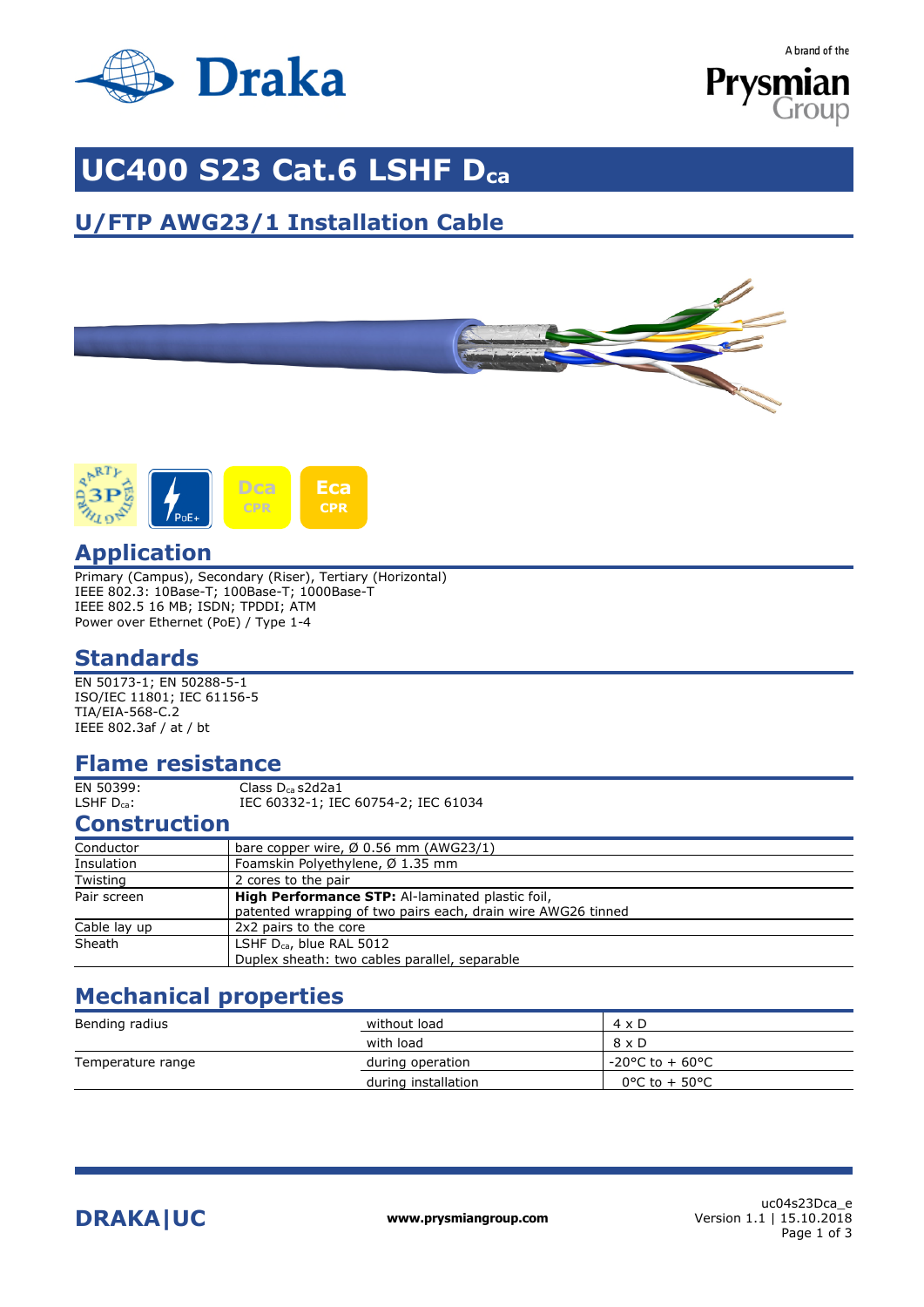

A brand of the



# **UC400 S23 Cat.6 LSHF Dca**

## **U/FTP AWG23/1 Installation Cable**





### **Application**

Primary (Campus), Secondary (Riser), Tertiary (Horizontal) IEEE 802.3: 10Base-T; 100Base-T; 1000Base-T IEEE 802.5 16 MB; ISDN; TPDDI; ATM Power over Ethernet (PoE) / Type 1-4

### **Standards**

EN 50173-1; EN 50288-5-1 ISO/IEC 11801; IEC 61156-5 TIA/EIA-568-C.2 IEEE 802.3af / at / bt

### **Flame resistance**

 $\frac{1}{2}$ EN 50399: Class D<sub>ca</sub> s2d2a1<br>
LSHF D<sub>ca</sub>: IEC 60332-1: IEC IEC 60332-1; IEC 60754-2; IEC 61034

### **Construction**

| bare copper wire, $\varnothing$ 0.56 mm (AWG23/1)                                                                       |
|-------------------------------------------------------------------------------------------------------------------------|
| Foamskin Polyethylene, Ø 1.35 mm                                                                                        |
| 2 cores to the pair                                                                                                     |
| <b>High Performance STP:</b> Al-laminated plastic foil,<br>patented wrapping of two pairs each, drain wire AWG26 tinned |
| 2x2 pairs to the core                                                                                                   |
| LSHF $D_{ca}$ , blue RAL 5012<br>Duplex sheath: two cables parallel, separable                                          |
|                                                                                                                         |

### **Mechanical properties**

| Bending radius    | without load        | $4 \times D$                         |
|-------------------|---------------------|--------------------------------------|
|                   | with load           | $8 \times D$                         |
| Temperature range | during operation    | $-20^{\circ}$ C to + 60 $^{\circ}$ C |
|                   | during installation | 0°C to + 50°C                        |

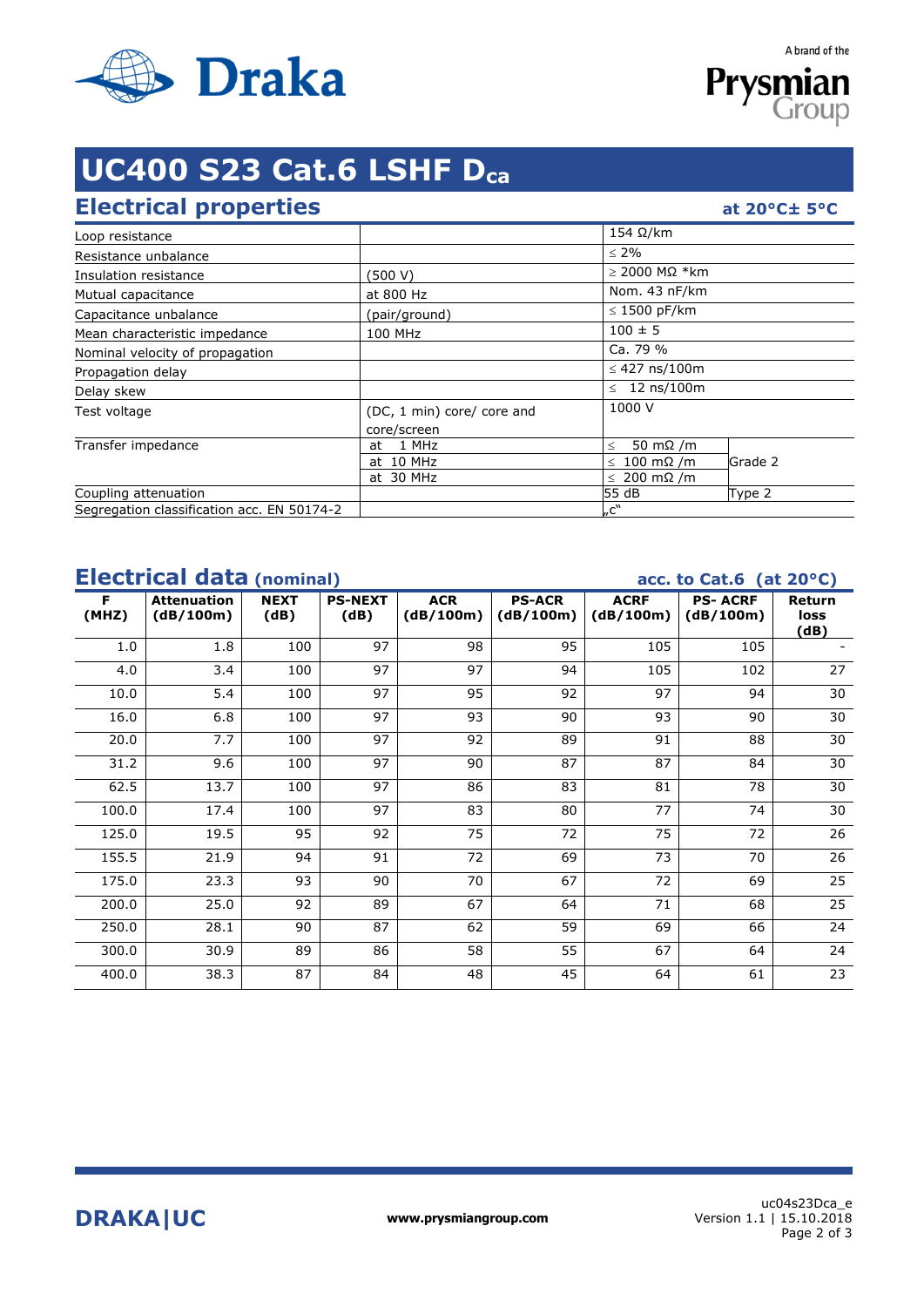

Prysmia Group

A brand of the

# **UC400 S23 Cat.6 LSHF Dca**

## **Electrical properties**

|  | at $20^{\circ}$ C $\pm$ 5°C |  |
|--|-----------------------------|--|
|  |                             |  |

|                                            |                            | $154$ Ω/km                  |         |  |
|--------------------------------------------|----------------------------|-----------------------------|---------|--|
| Loop resistance                            |                            |                             |         |  |
| Resistance unbalance                       |                            | $\leq 2\%$                  |         |  |
| Insulation resistance                      | (500 V)                    | $\geq$ 2000 MΩ *km          |         |  |
| Mutual capacitance                         | at 800 Hz                  | Nom. 43 nF/km               |         |  |
| Capacitance unbalance                      | (pair/ground)              | $\leq$ 1500 pF/km           |         |  |
| Mean characteristic impedance              | 100 MHz                    | $100 \pm 5$                 |         |  |
| Nominal velocity of propagation            |                            | Ca. 79 %                    |         |  |
| Propagation delay                          |                            | $\leq$ 427 ns/100m          |         |  |
| Delay skew                                 |                            | $\leq 12$ ns/100m           |         |  |
| Test voltage                               | (DC, 1 min) core/ core and | 1000 V                      |         |  |
|                                            | core/screen                |                             |         |  |
| Transfer impedance                         | 1 MHz<br>at                | 50 m $\Omega$ /m<br>$\,<\,$ |         |  |
|                                            | at 10 MHz                  | $\leq 100$ m $\Omega$ /m    | Grade 2 |  |
|                                            | at 30 MHz                  | $\leq 200$ m $\Omega$ /m    |         |  |
| Coupling attenuation                       |                            | 55 dB                       | Type 2  |  |
| Segregation classification acc. EN 50174-2 |                            | C''                         |         |  |

## **Electrical data** (nominal) acc. to Cat.6 (at 20°C)

| F<br>(MHZ) | <b>Attenuation</b><br>(dB/100m) | <b>NEXT</b><br>(dB) | <b>PS-NEXT</b><br>(dB) | <b>ACR</b><br>(dB/100m) | <b>PS-ACR</b><br>(dB/100m) | <b>ACRF</b><br>(dB/100m) | <b>PS-ACRF</b><br>(dB/100m) | Return<br>loss<br>(dB) |
|------------|---------------------------------|---------------------|------------------------|-------------------------|----------------------------|--------------------------|-----------------------------|------------------------|
| 1.0        | 1.8                             | 100                 | 97                     | 98                      | 95                         | 105                      | 105                         |                        |
| 4.0        | 3.4                             | 100                 | 97                     | 97                      | 94                         | 105                      | 102                         | 27                     |
| 10.0       | 5.4                             | 100                 | 97                     | 95                      | 92                         | 97                       | 94                          | 30                     |
| 16.0       | 6.8                             | 100                 | 97                     | 93                      | 90                         | 93                       | 90                          | 30                     |
| 20.0       | 7.7                             | 100                 | 97                     | 92                      | 89                         | 91                       | 88                          | 30                     |
| 31.2       | 9.6                             | 100                 | 97                     | 90                      | 87                         | 87                       | 84                          | 30                     |
| 62.5       | 13.7                            | 100                 | 97                     | 86                      | 83                         | 81                       | 78                          | 30                     |
| 100.0      | 17.4                            | 100                 | 97                     | 83                      | 80                         | 77                       | 74                          | 30                     |
| 125.0      | 19.5                            | 95                  | 92                     | 75                      | 72                         | 75                       | 72                          | 26                     |
| 155.5      | 21.9                            | 94                  | 91                     | 72                      | 69                         | 73                       | 70                          | 26                     |
| 175.0      | 23.3                            | 93                  | 90                     | 70                      | 67                         | 72                       | 69                          | 25                     |
| 200.0      | 25.0                            | 92                  | 89                     | 67                      | 64                         | 71                       | 68                          | $\overline{25}$        |
| 250.0      | 28.1                            | 90                  | 87                     | 62                      | 59                         | 69                       | 66                          | 24                     |
| 300.0      | 30.9                            | 89                  | 86                     | 58                      | 55                         | 67                       | 64                          | 24                     |
| 400.0      | 38.3                            | 87                  | 84                     | 48                      | 45                         | 64                       | 61                          | 23                     |